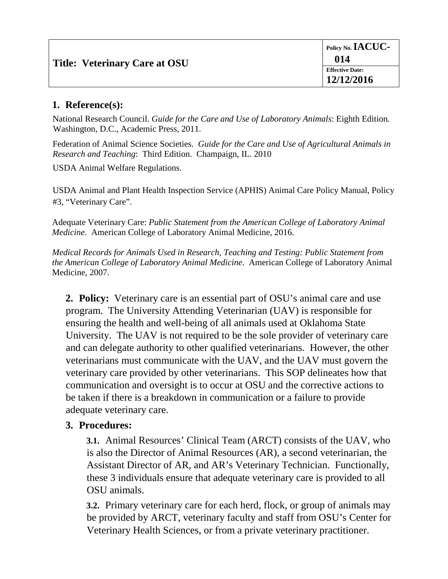## **1. Reference(s):**

National Research Council. *Guide for the Care and Use of Laboratory Animals*: Eighth Edition*.*  Washington, D.C., Academic Press, 2011.

Federation of Animal Science Societies. *Guide for the Care and Use of Agricultural Animals in Research and Teaching*: Third Edition. Champaign, IL. 2010

USDA Animal Welfare Regulations.

USDA Animal and Plant Health Inspection Service (APHIS) Animal Care Policy Manual, Policy #3, "Veterinary Care".

Adequate Veterinary Care: *Public Statement from the American College of Laboratory Animal Medicine*. American College of Laboratory Animal Medicine, 2016.

*Medical Records for Animals Used in Research, Teaching and Testing: Public Statement from the American College of Laboratory Animal Medicine*. American College of Laboratory Animal Medicine, 2007.

**2. Policy:** Veterinary care is an essential part of OSU's animal care and use program. The University Attending Veterinarian (UAV) is responsible for ensuring the health and well-being of all animals used at Oklahoma State University. The UAV is not required to be the sole provider of veterinary care and can delegate authority to other qualified veterinarians. However, the other veterinarians must communicate with the UAV, and the UAV must govern the veterinary care provided by other veterinarians. This SOP delineates how that communication and oversight is to occur at OSU and the corrective actions to be taken if there is a breakdown in communication or a failure to provide adequate veterinary care.

## **3. Procedures:**

**3.1.** Animal Resources' Clinical Team (ARCT) consists of the UAV, who is also the Director of Animal Resources (AR), a second veterinarian, the Assistant Director of AR, and AR's Veterinary Technician. Functionally, these 3 individuals ensure that adequate veterinary care is provided to all OSU animals.

**3.2.** Primary veterinary care for each herd, flock, or group of animals may be provided by ARCT, veterinary faculty and staff from OSU's Center for Veterinary Health Sciences, or from a private veterinary practitioner.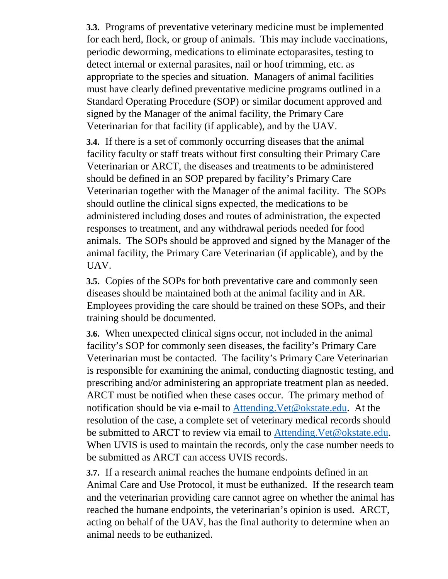**3.3.** Programs of preventative veterinary medicine must be implemented for each herd, flock, or group of animals. This may include vaccinations, periodic deworming, medications to eliminate ectoparasites, testing to detect internal or external parasites, nail or hoof trimming, etc. as appropriate to the species and situation. Managers of animal facilities must have clearly defined preventative medicine programs outlined in a Standard Operating Procedure (SOP) or similar document approved and signed by the Manager of the animal facility, the Primary Care Veterinarian for that facility (if applicable), and by the UAV.

**3.4.** If there is a set of commonly occurring diseases that the animal facility faculty or staff treats without first consulting their Primary Care Veterinarian or ARCT, the diseases and treatments to be administered should be defined in an SOP prepared by facility's Primary Care Veterinarian together with the Manager of the animal facility. The SOPs should outline the clinical signs expected, the medications to be administered including doses and routes of administration, the expected responses to treatment, and any withdrawal periods needed for food animals. The SOPs should be approved and signed by the Manager of the animal facility, the Primary Care Veterinarian (if applicable), and by the UAV.

**3.5.** Copies of the SOPs for both preventative care and commonly seen diseases should be maintained both at the animal facility and in AR. Employees providing the care should be trained on these SOPs, and their training should be documented.

**3.6.** When unexpected clinical signs occur, not included in the animal facility's SOP for commonly seen diseases, the facility's Primary Care Veterinarian must be contacted. The facility's Primary Care Veterinarian is responsible for examining the animal, conducting diagnostic testing, and prescribing and/or administering an appropriate treatment plan as needed. ARCT must be notified when these cases occur. The primary method of notification should be via e-mail to [Attending.Vet@okstate.edu.](mailto:Attending.Vet@okstate.edu) At the resolution of the case, a complete set of veterinary medical records should be submitted to ARCT to review via email to Attending. Vet@okstate.edu. When UVIS is used to maintain the records, only the case number needs to be submitted as ARCT can access UVIS records.

**3.7.** If a research animal reaches the humane endpoints defined in an Animal Care and Use Protocol, it must be euthanized. If the research team and the veterinarian providing care cannot agree on whether the animal has reached the humane endpoints, the veterinarian's opinion is used. ARCT, acting on behalf of the UAV, has the final authority to determine when an animal needs to be euthanized.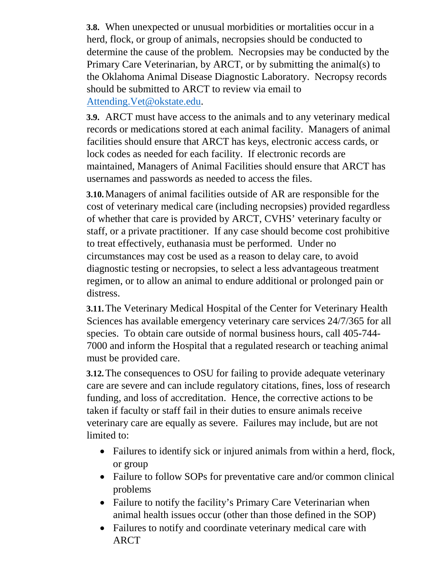**3.8.** When unexpected or unusual morbidities or mortalities occur in a herd, flock, or group of animals, necropsies should be conducted to determine the cause of the problem. Necropsies may be conducted by the Primary Care Veterinarian, by ARCT, or by submitting the animal(s) to the Oklahoma Animal Disease Diagnostic Laboratory. Necropsy records should be submitted to ARCT to review via email to [Attending.Vet@okstate.edu.](mailto:Attending.Vet@okstate.edu)

**3.9.** ARCT must have access to the animals and to any veterinary medical records or medications stored at each animal facility. Managers of animal facilities should ensure that ARCT has keys, electronic access cards, or lock codes as needed for each facility. If electronic records are maintained, Managers of Animal Facilities should ensure that ARCT has usernames and passwords as needed to access the files.

**3.10.**Managers of animal facilities outside of AR are responsible for the cost of veterinary medical care (including necropsies) provided regardless of whether that care is provided by ARCT, CVHS' veterinary faculty or staff, or a private practitioner. If any case should become cost prohibitive to treat effectively, euthanasia must be performed. Under no circumstances may cost be used as a reason to delay care, to avoid diagnostic testing or necropsies, to select a less advantageous treatment regimen, or to allow an animal to endure additional or prolonged pain or distress.

**3.11.**The Veterinary Medical Hospital of the Center for Veterinary Health Sciences has available emergency veterinary care services 24/7/365 for all species. To obtain care outside of normal business hours, call 405-744- 7000 and inform the Hospital that a regulated research or teaching animal must be provided care.

**3.12.**The consequences to OSU for failing to provide adequate veterinary care are severe and can include regulatory citations, fines, loss of research funding, and loss of accreditation. Hence, the corrective actions to be taken if faculty or staff fail in their duties to ensure animals receive veterinary care are equally as severe. Failures may include, but are not limited to:

- Failures to identify sick or injured animals from within a herd, flock, or group
- Failure to follow SOPs for preventative care and/or common clinical problems
- Failure to notify the facility's Primary Care Veterinarian when animal health issues occur (other than those defined in the SOP)
- Failures to notify and coordinate veterinary medical care with ARCT